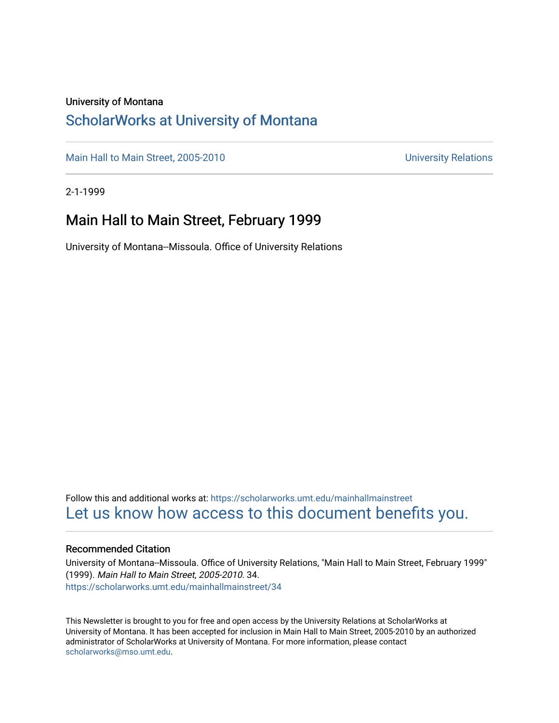#### University of Montana

### [ScholarWorks at University of Montana](https://scholarworks.umt.edu/)

[Main Hall to Main Street, 2005-2010](https://scholarworks.umt.edu/mainhallmainstreet) Main Hall to Main Street, 2005-2010

2-1-1999

### Main Hall to Main Street, February 1999

University of Montana--Missoula. Office of University Relations

Follow this and additional works at: [https://scholarworks.umt.edu/mainhallmainstreet](https://scholarworks.umt.edu/mainhallmainstreet?utm_source=scholarworks.umt.edu%2Fmainhallmainstreet%2F34&utm_medium=PDF&utm_campaign=PDFCoverPages) [Let us know how access to this document benefits you.](https://goo.gl/forms/s2rGfXOLzz71qgsB2) 

#### Recommended Citation

University of Montana--Missoula. Office of University Relations, "Main Hall to Main Street, February 1999" (1999). Main Hall to Main Street, 2005-2010. 34. [https://scholarworks.umt.edu/mainhallmainstreet/34](https://scholarworks.umt.edu/mainhallmainstreet/34?utm_source=scholarworks.umt.edu%2Fmainhallmainstreet%2F34&utm_medium=PDF&utm_campaign=PDFCoverPages) 

This Newsletter is brought to you for free and open access by the University Relations at ScholarWorks at University of Montana. It has been accepted for inclusion in Main Hall to Main Street, 2005-2010 by an authorized administrator of ScholarWorks at University of Montana. For more information, please contact [scholarworks@mso.umt.edu.](mailto:scholarworks@mso.umt.edu)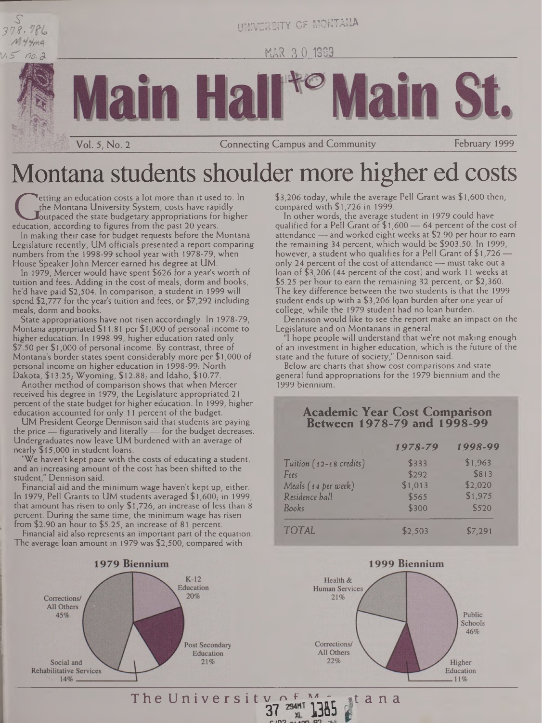

UNIVERSITY OF MONTANA

MAR 3 0 1999

**Connecting Campus and Community** 

# Montana students shoulder more higher ed costs

the Montana University System, costs have rapidly<br>ducation, according to figures from the past 20 years.<br>In making their case for hudget requests before the Montan etting an education costs a lot more than it used to. In the Montana University System, costs have rapidly Joutpaced the state budgetary appropriations for higher

Vol. 5, No. 2

In making their case for budget requests before the Montana Legislature recently, UM officials presented a report comparing numbers from the 1998-99 school year with 1978-79, when House Speaker John Mercer earned his degree at UM.

In 1979, Mercer would have spent \$626 for a year's worth of tuition and fees. Adding in the cost of meals, dorm and books, he'd have paid \$2,504. In comparison, a student in 1999 will spend \$2,777 for the year's tuition and fees, or \$7,292 including meals, dorm and books.

State appropriations have not risen accordingly. In 1978-79, Montana appropriated \$ 11.81 per \$1,000 of personal income to higher education. In 1998-99, higher education rated only \$7.50 per \$1,000 of personal income. By contrast, three of Montana's border states spent considerably more per \$ 1,000 of personal income on higher education in 1998-99: North Dakota, \$13.25; Wyoming, \$12.88; and Idaho, \$10.77

Another method of comparison shows that when Mercer received his degree in 1979, the Legislature appropriated 21 percent of the state budget for higher education. In 1999, higher education accounted for only 11 percent of the budget.

UM President George Dennison said that students are paying the price — figuratively and literally— for the budget decreases. Undergraduates now leave UM burdened with an average of nearly \$15,000 in student loans.

We haven't kept pace with the costs of educating a student, and an increasing amount of the cost has been shifted to the student," Dennison said.

Financial aid and the minimum wage haven't kept up, either. In 1979, Pell Grants to UM students averaged  $$1,600$ , in 1999, that amount has risen to only \$1,726, an increase of less than 8 percent. During the same time, the minimum wage has risen from \$2.90 an hour to \$5.25, an increase of 81 percent.

Financial aid also represents an important part of the equation. The average loan amount in 1979 was \$2,500, compared with



\$3,206 today, while the average Pell Grant was \$1,600 then, compared with \$1,726 in 1999.

February 1999

In other words, the average student in 1979 could have qualified for a Pell Grant of \$1,600 — 64 percent of the cost of attendance — and worked eight weeks at \$2.90 per hour to earn the remaining 34 percent, which would be \$903.50. In 1999, however, a student who qualifies for a Pell Grant of \$1,726 only 24 percent of the cost of attendance — must take out a loan of \$3,206 (44 percent of the cost) and work <sup>11</sup> weeks at \$5.25 per hour to earn the remaining 32 percent, or \$2,360. The key difference between the two students is that the 1999 student ends up with a  $$3,206$  loan burden after one year of college, while the 1979 student had no loan burden.

Dennison would like to see the report make an impact on the Legislature and on Montanans in general.

"I hope people will understand that we're not making enough of an investment in higher education, which is the future of the state and the future of society," Dennison said.

Below are charts that show cost comparisons and state general fund appropriations for the 1979 biennium and the 1999 biennium.

#### **Academic Year Cost Comparison Between 1978-79 and 1998-99**

|                         | 1978-79 | 1998-99 |
|-------------------------|---------|---------|
| Tuition (12-18 credits) | \$333   | \$1,963 |
| Fees                    | \$292   | \$813   |
| Meals (14 per week)     | \$1,013 | \$2,020 |
| Residence hall          | \$565   | \$1,975 |
| Books                   | \$300   | \$520   |
| <b>TOTAL</b>            | \$2,503 | \$7,291 |



The University of M<sub>ar</sub> at a n a 294HT

**c/H9** nleng 09 NLE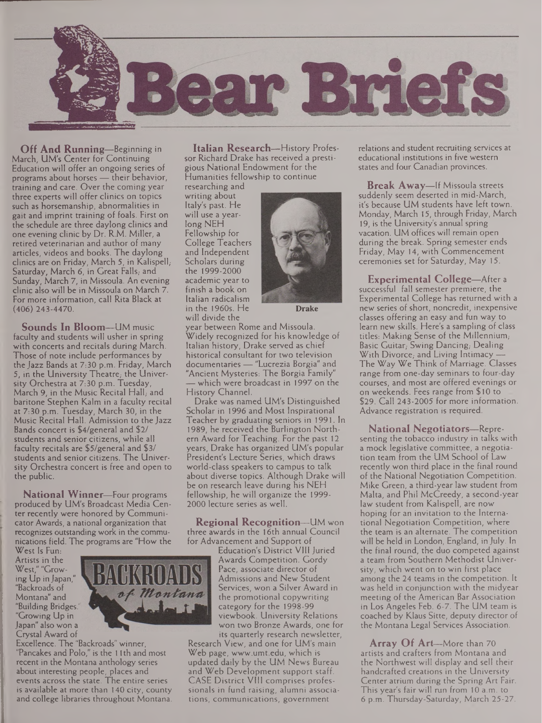

**Off And Running—**Beginning in March, UM's Center for Continuing Education will offer an ongoing series of programs about horses — their behavior, training and care. Over the coming year three experts will offer clinics on topics such as horsemanship, abnormalities in gait and imprint training of foals. First on the schedule are three daylong clinics and one evening clinic by Dr. R.M. Miller, a retired veterinarian and author of many articles, videos and books. The daylong clinics are on Friday, March 5, in Kalispell,- Saturday, March 6, in Great Falls, and Sunday, March 7, in Missoula. An evening clinic also will be in Missoula on March 7. For more information, call Rita Black at (406) 243-4470.

**Sounds In Bloom—**UM music faculty and students will usher in spring with concerts and recitals during March. Those of note include performances by the Jazz Bands at 7:30 p.m. Friday, March  $5$ , in the University Theatre; the University Orchestra at 7:30 p.m. Tuesday, March 9, in the Music Recital Hall, and baritone Stephen Kalm in a faculty recital at 7:30 p.m. Tuesday, March 30, in the Music Recital Hall. Admission to the Jazz Bands concert is \$4/general and \$2/ students and senior citizens, while all faculty recitals are \$5/general and \$3/ students and senior citizens. The University Orchestra concert is free and open to the public.

**National Winner—**Four programs produced by UM's Broadcast Media Center recently were honored by Communicator Awards, a national organization that recognizes outstanding work in the communications field. The programs are "How the

West Is Fun: Artists in the West," "Growing Up in Japan," "Backroads of Montana" and "Building Bridges. "Growing Up in Japan" also won a Crystal Award of



Excellence. The "Backroads" winner, "Pancakes and Polo," is the 11 th and most recent in the Montana anthology series about interesting people, places and events across the state. The entire series is available at more than 140 city, county and college libraries throughout Montana.

**Italian Research—**History Professor Richard Drake has received a prestigious National Endowment for the Humanities fellowship to continue

researching and writing about Italy's past. He will use a yearlong NEH Fellowship for College Teachers and Independent Scholars during the 1999-2000 academic year to finish a book on Italian radicalism in the 1960s. He will divide the



**Drake**

year between Rome and Missoula. Widely recognized for his knowledge of Italian history, Drake served as chief historical consultant for two television documentaries — "Lucrezia Borgia" and "Ancient Mysteries: The Borgia Family" which were broadcast in 1997 on the History Channel.

Drake was named UM's Distinguished Scholar in 1996 and Most Inspirational Teacher by graduating seniors in 1991. In 1989, he received the Burlington Northern Award for Teaching. For the past 12 years, Drake has organized UM's popular President's Lecture Series, which draws world-class speakers to campus to talk about diverse topics. Although Drake will be on research leave during his NEH fellowship, he will organize the 1999- 2000 lecture series as well.

**Regional Recognition—**UM won three awards in the 16th annual Council for Advancement and Support of

Education's District VIII Juried Awards Competition. Gordy Pace, associate director of Admissions and New Student Services, won a Silver Award in the promotional copywriting category for the 1998-99 viewbook. University Relations won two Bronze Awards, one for its quarterly research newsletter,

Research View, and one for UM's main Web page, [www.umt.edu](http://www.umt.edu), which is updated daily by the UM News Bureau and Web Development support staff. CASE District VIII comprises professionals in fund raising, alumni associations, communications, government

relations and student recruiting services at educational institutions in five western states and four Canadian provinces.

**Break Away—**If Missoula streets suddenly seem deserted in mid-March, it's because UM students have left town. Monday, March 15, through Friday, March 19, is the University's annual spring vacation. UM offices will remain open during the break. Spring semester ends Friday, May 14, with Commencement ceremonies set for Saturday, May 15.

**Experimental College—**After <sup>a</sup> successful fall semester premiere, the Experimental College has returned with a new series of short, noncredit, inexpensive classes offering an easy and fun way to learn new skills. Here's a sampling of class titles: Making Sense of the Millennium, Basic Guitar, Swing Dancing, Dealing With Divorce; and Living Intimacy -The Way We Think of Marriage. Classes range from one-day seminars to four-day courses, and most are offered evenings or on weekends. Fees range from \$ 10 to \$29. Call 243-2005 for more information. Advance registration is required.

**National Negotiators—**Representing the tobacco industry in talks with a mock legislative committee, a negotiation team from the UM School of Law recently won third place in the final round of the National Negotiation Competition. Mike Green, a third-year law student from Malta, and Phil McCreedy, a second-year law student from Kalispell, are now hoping for an invitation to the International Negotiation Competition, where the team is an alternate. The competition will be held in London, England, in July. In the final round, the duo competed against a team from Southern Methodist University, which went on to win first place among the 24 teams in the competition. It was held in conjunction with the midyear meeting of the American Bar Association in Los Angeles Feb. 6-7. The UM team is coached by Klaus Sitte, deputy director of the Montana Legal Services Association.

**Array Of Art—**More than 70 artists and crafters from Montana and the Northwest will display and sell their handcrafted creations in the University Center atrium during the Spring Art Fair. This year's fair will run from 10 a.m. to 6 p.m. Thursday-Saturday, March 25-27.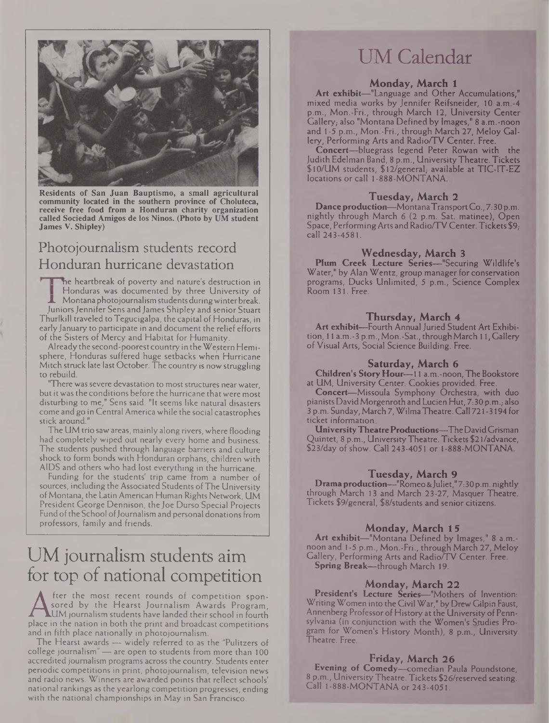

**Residents of San Juan Bauptismo, a small agricultural community located in the southern province of Choluteca, receive free food from a Honduran charity organization called Sociedad Amigos de los Ninos. (Photo by UM student James V. Shipley)**

### Photojournalism students record Honduran hurricane devastation

ne heartbreak of poverty and nature's destruction in Honduras was documented by three University of Montana photojournalism students during winter break. Juniors Jennifer Sens and James Shipley and senior Stuart Thurlkill traveled to Tegucigalpa, the capital of Honduras, in early January to participate in and document the relief efforts of the Sisters of Mercy and Habitat for Humanity.

Already the second-poorest country in theWestern Hemisphere, Honduras suffered huge setbacks when Hurricane Mitch struck late last October. The country is now struggling to rebuild.

"There was severe devastation to most structures near water, but it was the conditions before the hurricane that were most disturbing to me," Sens said. "It seems like natural disasters come and go in Central America while the social catastrophes stick around."

The UM trio saw areas, mainly along rivers, where flooding had completely wiped out nearly every home and business. The students pushed through language barriers and culture shock to form bonds with Honduran orphans, children with AIDS and others who had lost everything in the hurricane.

Funding for the students' trip came from a number of sources, including the Associated Students ofThe University of Montana, the Latin American Human Rights Network, UM President George Dennison, the Joe Durso Special Projects Fund of the School of Journalism and personal donations from professors, family and friends.

## UM journalism students aim for top of national competition

A sored by the Hearst Journalism Awards Program,<br>LIM journalism students have landed their school in fourth<br>place in the nation in both the print and broadcast competitions<br>and in fifth place nationally in photoiournalism fter the most recent rounds of competition sponsored by the Hearst Journalism Awards Program,  $LUM$  journalism students have landed their school in fourth and in fifth place nationally in photojournalism.

The Hearst awards — widely referred to as the "Pulitzers of college journalism" — are open to students from more than 100 accredited journalism programs across the country. Students enter periodic competitions in print, photojournalism, television news and radio news. Winners are awarded points that reflect schools' national rankings as the yearlong competition progresses, ending with the national championships in May in San Francisco.

## UM Calendar

#### **Monday, March 1**

**Art exhibit—**"Language and Other Accumulations," mixed media works by Jennifer Reifsneider, 10 a.m.-4 p.m., Mon.-Fri., through March 12, University Center Gallery, also "Montana Defined by Images," 8 a.m.-noon and 1-5 p.m., Mon.-Fri., through March 27, Meloy Gallery, Performing Arts and Radio/TV Center. Free.

**Concert—**bluegrass legend Peter Rowan with the Judith Edelman Band, 8 p.m., University Theatre. Tickets \$10/UM students, \$12/general; available at TIC-1T-EZ locations or call <sup>1</sup> -888-MONTANA

#### **Tuesday, March 2**

**Danceproduction—**MontanaTransportCo., 7:30p.m. nightly through March 6 (2 p.m. Sat. matinee), Open Space, Performing Arts and Radio/TV Center. Tickets  $\$9_i$ call 243-4581.

#### **Wednesday, March 3**

**Plum Creek Lecture Series—**"Securing Wildlife's Water," by Alan Wentz, group manager for conservation programs, Ducks Unlimited, 5 p.m.. Science Complex Room 131. Free.

#### **Thursday, March** *4*

Art **exhibit—Fourth Annual Juried Student Art Exhibi**tion, 11 a.m.-3 p.m., Mon.-Sat., throughMarch 11, Gallery of Visual Arts, Social Science Building. Free.

#### **Saturday, March 6**

**Children's StoryHour—**<sup>11</sup> a.m.-noon. The Bookstore at UM, University Center. Cookies provided. Free.

**Concert—**Missoula Symphony Orchestra, with duo pianists David Morgenroth and Lucien Hut, 7:30 p.m., also 3 p.m. Sunday, March 7, WilmaTheatre. Call 721-3194 for ticket information

**UniversityTheatreProductions—**TheDavidCrisman Quintet, 8 p.m., UniversityTheatre. Tickets \$21/advance, \$23/day of show. Call 243-4051 or <sup>1</sup> -888-MONTANA.

#### **Tuesday, March 9**

**Drama production—**"Romeo&Juliet,"7:30p.m. nightly through March 13 and March 23-27, Masquer Theatre. Tickets \$9/generaI, \$8/students and senior citizens.

#### **Monday, March 15**

**Art exhibit—**"Montana Defined by Images," 8 a.m. noon and <sup>1</sup> -5 p.m., Mon.-Fri., through March 27, Meloy Gallery, Performing Arts and Radio/TV Center. Free. **Spring Break—**through March 19.

#### **Monday, March 22**

**President's Lecture Series—**"Mothers of Invention: WritingWomen into theCivil War," by Drew Gilpin Faust, Annenberg Professor of History at the University of Pennsylvania (in conjunction with the Women's Studies Program for Women's History Month), 8 p.m., University Theatre. Free.

#### **Friday, March 26**

**Evening of Comedy—**comedian Paula Poundstone, **8** p.m., University Theatre. Tickets **\$26/reserved** seating. Call 1-888-MONTANA or 243-4051.